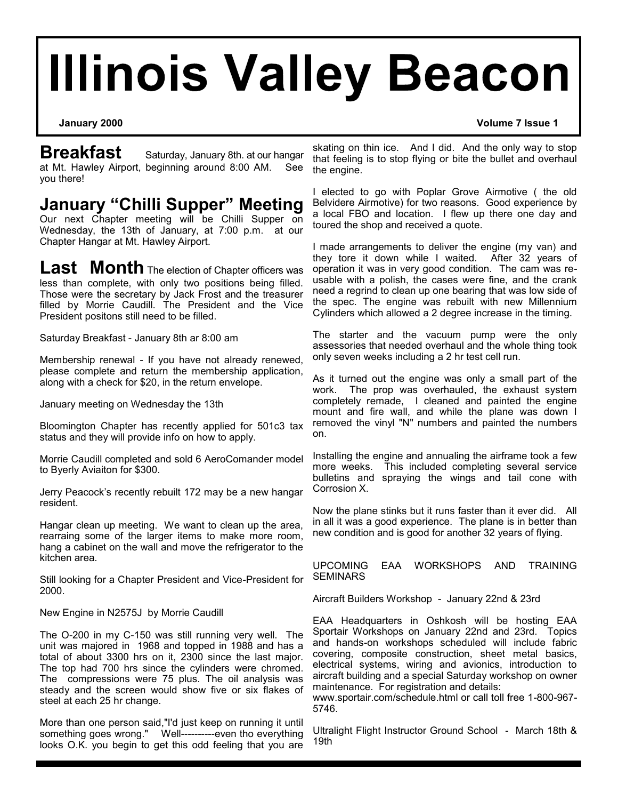# **Illinois Valley Beacon**

## **January 2000 Volume 7 Issue 1**

**Breakfast** Saturday, January 8th. at our hangar<br>at Mt. Hawley Airport, beginning around 8:00 AM. See at Mt. Hawley Airport, beginning around 8:00 AM. you there!

**January "Chilli Supper" Meeting**

Our next Chapter meeting will be Chilli Supper on Wednesday, the 13th of January, at 7:00 p.m. at our Chapter Hangar at Mt. Hawley Airport.

Last Month The election of Chapter officers was less than complete, with only two positions being filled. Those were the secretary by Jack Frost and the treasurer filled by Morrie Caudill. The President and the Vice President positons still need to be filled.

Saturday Breakfast - January 8th ar 8:00 am

Membership renewal - If you have not already renewed, please complete and return the membership application, along with a check for \$20, in the return envelope.

January meeting on Wednesday the 13th

Bloomington Chapter has recently applied for 501c3 tax status and they will provide info on how to apply.

Morrie Caudill completed and sold 6 AeroComander model to Byerly Aviaiton for \$300.

Jerry Peacock's recently rebuilt 172 may be a new hangar resident.

Hangar clean up meeting. We want to clean up the area, rearraing some of the larger items to make more room, hang a cabinet on the wall and move the refrigerator to the kitchen area.

Still looking for a Chapter President and Vice-President for 2000.

New Engine in N2575J by Morrie Caudill

The O-200 in my C-150 was still running very well. The unit was majored in 1968 and topped in 1988 and has a total of about 3300 hrs on it, 2300 since the last major. The top had 700 hrs since the cylinders were chromed. The compressions were 75 plus. The oil analysis was steady and the screen would show five or six flakes of steel at each 25 hr change.

More than one person said,"I'd just keep on running it until something goes wrong." Well----------even tho everything looks O.K. you begin to get this odd feeling that you are

skating on thin ice. And I did. And the only way to stop that feeling is to stop flying or bite the bullet and overhaul the engine.

I elected to go with Poplar Grove Airmotive ( the old Belvidere Airmotive) for two reasons. Good experience by a local FBO and location. I flew up there one day and toured the shop and received a quote.

I made arrangements to deliver the engine (my van) and they tore it down while I waited. After 32 years of operation it was in very good condition. The cam was reusable with a polish, the cases were fine, and the crank need a regrind to clean up one bearing that was low side of the spec. The engine was rebuilt with new Millennium Cylinders which allowed a 2 degree increase in the timing.

The starter and the vacuum pump were the only assessories that needed overhaul and the whole thing took only seven weeks including a 2 hr test cell run.

As it turned out the engine was only a small part of the work. The prop was overhauled, the exhaust system completely remade, I cleaned and painted the engine mount and fire wall, and while the plane was down I removed the vinyl "N" numbers and painted the numbers on.

Installing the engine and annualing the airframe took a few more weeks. This included completing several service bulletins and spraying the wings and tail cone with Corrosion X.

Now the plane stinks but it runs faster than it ever did. All in all it was a good experience. The plane is in better than new condition and is good for another 32 years of flying.

UPCOMING EAA WORKSHOPS AND TRAINING **SEMINARS** 

Aircraft Builders Workshop - January 22nd & 23rd

EAA Headquarters in Oshkosh will be hosting EAA Sportair Workshops on January 22nd and 23rd. Topics and hands-on workshops scheduled will include fabric covering, composite construction, sheet metal basics, electrical systems, wiring and avionics, introduction to aircraft building and a special Saturday workshop on owner maintenance. For registration and details:

www.sportair.com/schedule.html or call toll free 1-800-967- 5746.

Ultralight Flight Instructor Ground School - March 18th & 19th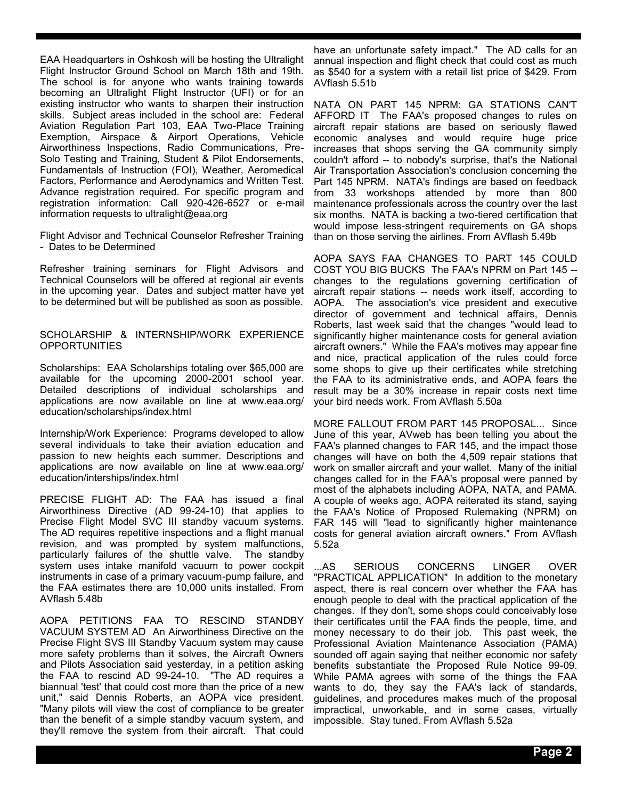EAA Headquarters in Oshkosh will be hosting the Ultralight Flight Instructor Ground School on March 18th and 19th. The school is for anyone who wants training towards becoming an Ultralight Flight Instructor (UFI) or for an existing instructor who wants to sharpen their instruction skills. Subject areas included in the school are: Federal Aviation Regulation Part 103, EAA Two-Place Training Exemption, Airspace & Airport Operations, Vehicle Airworthiness Inspections, Radio Communications, Pre-Solo Testing and Training, Student & Pilot Endorsements, Fundamentals of Instruction (FOI), Weather, Aeromedical Factors, Performance and Aerodynamics and Written Test. Advance registration required. For specific program and registration information: Call 920-426-6527 or e-mail information requests to ultralight@eaa.org

Flight Advisor and Technical Counselor Refresher Training - Dates to be Determined

Refresher training seminars for Flight Advisors and Technical Counselors will be offered at regional air events in the upcoming year. Dates and subject matter have yet to be determined but will be published as soon as possible.

### SCHOLARSHIP & INTERNSHIP/WORK EXPERIENCE OPPORTUNITIES

Scholarships: EAA Scholarships totaling over \$65,000 are available for the upcoming 2000-2001 school year. Detailed descriptions of individual scholarships and applications are now available on line at www.eaa.org/ education/scholarships/index.html

Internship/Work Experience: Programs developed to allow several individuals to take their aviation education and passion to new heights each summer. Descriptions and applications are now available on line at www.eaa.org/ education/interships/index.html

PRECISE FLIGHT AD: The FAA has issued a final Airworthiness Directive (AD 99-24-10) that applies to Precise Flight Model SVC III standby vacuum systems. The AD requires repetitive inspections and a flight manual revision, and was prompted by system malfunctions, particularly failures of the shuttle valve. The standby system uses intake manifold vacuum to power cockpit instruments in case of a primary vacuum-pump failure, and the FAA estimates there are 10,000 units installed. From AVflash 5.48b

AOPA PETITIONS FAA TO RESCIND STANDBY VACUUM SYSTEM AD An Airworthiness Directive on the Precise Flight SVS III Standby Vacuum system may cause more safety problems than it solves, the Aircraft Owners and Pilots Association said yesterday, in a petition asking the FAA to rescind AD 99-24-10. "The AD requires a biannual 'test' that could cost more than the price of a new unit," said Dennis Roberts, an AOPA vice president. "Many pilots will view the cost of compliance to be greater than the benefit of a simple standby vacuum system, and they'll remove the system from their aircraft. That could

have an unfortunate safety impact." The AD calls for an annual inspection and flight check that could cost as much as \$540 for a system with a retail list price of \$429. From AVflash 5.51b

NATA ON PART 145 NPRM: GA STATIONS CAN'T AFFORD IT The FAA's proposed changes to rules on aircraft repair stations are based on seriously flawed economic analyses and would require huge price increases that shops serving the GA community simply couldn't afford -- to nobody's surprise, that's the National Air Transportation Association's conclusion concerning the Part 145 NPRM. NATA's findings are based on feedback from 33 workshops attended by more than 800 maintenance professionals across the country over the last six months. NATA is backing a two-tiered certification that would impose less-stringent requirements on GA shops than on those serving the airlines. From AVflash 5.49b

AOPA SAYS FAA CHANGES TO PART 145 COULD COST YOU BIG BUCKS The FAA's NPRM on Part 145 - changes to the regulations governing certification of aircraft repair stations -- needs work itself, according to AOPA. The association's vice president and executive director of government and technical affairs, Dennis Roberts, last week said that the changes "would lead to significantly higher maintenance costs for general aviation aircraft owners." While the FAA's motives may appear fine and nice, practical application of the rules could force some shops to give up their certificates while stretching the FAA to its administrative ends, and AOPA fears the result may be a 30% increase in repair costs next time your bird needs work. From AVflash 5.50a

MORE FALLOUT FROM PART 145 PROPOSAL... Since June of this year, AVweb has been telling you about the FAA's planned changes to FAR 145, and the impact those changes will have on both the 4,509 repair stations that work on smaller aircraft and your wallet. Many of the initial changes called for in the FAA's proposal were panned by most of the alphabets including AOPA, NATA, and PAMA. A couple of weeks ago, AOPA reiterated its stand, saying the FAA's Notice of Proposed Rulemaking (NPRM) on FAR 145 will "lead to significantly higher maintenance costs for general aviation aircraft owners." From AVflash 5.52a

...AS SERIOUS CONCERNS LINGER OVER "PRACTICAL APPLICATION" In addition to the monetary aspect, there is real concern over whether the FAA has enough people to deal with the practical application of the changes. If they don't, some shops could conceivably lose their certificates until the FAA finds the people, time, and money necessary to do their job. This past week, the Professional Aviation Maintenance Association (PAMA) sounded off again saying that neither economic nor safety benefits substantiate the Proposed Rule Notice 99-09. While PAMA agrees with some of the things the FAA wants to do, they say the FAA's lack of standards, guidelines, and procedures makes much of the proposal impractical, unworkable, and in some cases, virtually impossible. Stay tuned. From AVflash 5.52a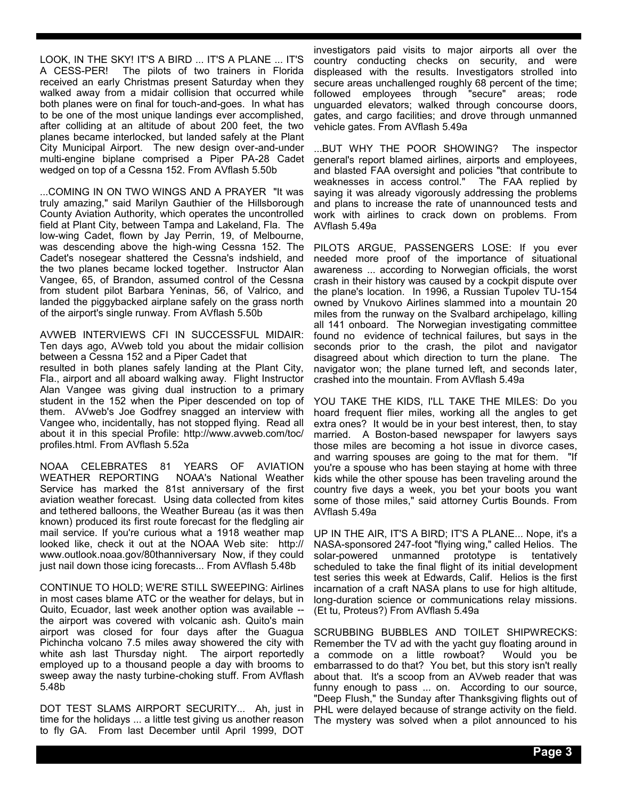LOOK, IN THE SKY! IT'S A BIRD ... IT'S A PLANE ... IT'S The pilots of two trainers in Florida received an early Christmas present Saturday when they walked away from a midair collision that occurred while both planes were on final for touch-and-goes. In what has to be one of the most unique landings ever accomplished, after colliding at an altitude of about 200 feet, the two planes became interlocked, but landed safely at the Plant City Municipal Airport. The new design over-and-under multi-engine biplane comprised a Piper PA-28 Cadet wedged on top of a Cessna 152. From AVflash 5.50b

...COMING IN ON TWO WINGS AND A PRAYER "It was truly amazing," said Marilyn Gauthier of the Hillsborough County Aviation Authority, which operates the uncontrolled field at Plant City, between Tampa and Lakeland, Fla. The low-wing Cadet, flown by Jay Perrin, 19, of Melbourne, was descending above the high-wing Cessna 152. The Cadet's nosegear shattered the Cessna's indshield, and the two planes became locked together. Instructor Alan Vangee, 65, of Brandon, assumed control of the Cessna from student pilot Barbara Yeninas, 56, of Valrico, and landed the piggybacked airplane safely on the grass north of the airport's single runway. From AVflash 5.50b

AVWEB INTERVIEWS CFI IN SUCCESSFUL MIDAIR: Ten days ago, AVweb told you about the midair collision between a Cessna 152 and a Piper Cadet that

resulted in both planes safely landing at the Plant City, Fla., airport and all aboard walking away. Flight Instructor Alan Vangee was giving dual instruction to a primary student in the 152 when the Piper descended on top of them. AVweb's Joe Godfrey snagged an interview with Vangee who, incidentally, has not stopped flying. Read all about it in this special Profile: http://www.avweb.com/toc/ profiles.html. From AVflash 5.52a

NOAA CELEBRATES 81 YEARS OF AVIATION NOAA's National Weather Service has marked the 81st anniversary of the first aviation weather forecast. Using data collected from kites and tethered balloons, the Weather Bureau (as it was then known) produced its first route forecast for the fledgling air mail service. If you're curious what a 1918 weather map looked like, check it out at the NOAA Web site: http:// www.outlook.noaa.gov/80thanniversary Now, if they could just nail down those icing forecasts... From AVflash 5.48b

CONTINUE TO HOLD; WE'RE STILL SWEEPING: Airlines in most cases blame ATC or the weather for delays, but in Quito, Ecuador, last week another option was available - the airport was covered with volcanic ash. Quito's main airport was closed for four days after the Guagua Pichincha volcano 7.5 miles away showered the city with white ash last Thursday night. The airport reportedly employed up to a thousand people a day with brooms to sweep away the nasty turbine-choking stuff. From AVflash 5.48b

DOT TEST SLAMS AIRPORT SECURITY... Ah, just in time for the holidays ... a little test giving us another reason to fly GA. From last December until April 1999, DOT

investigators paid visits to major airports all over the country conducting checks on security, and were displeased with the results. Investigators strolled into secure areas unchallenged roughly 68 percent of the time; followed employees through "secure" areas; rode unguarded elevators; walked through concourse doors, gates, and cargo facilities; and drove through unmanned vehicle gates. From AVflash 5.49a

...BUT WHY THE POOR SHOWING? The inspector general's report blamed airlines, airports and employees, and blasted FAA oversight and policies "that contribute to weaknesses in access control." The FAA replied by saying it was already vigorously addressing the problems and plans to increase the rate of unannounced tests and work with airlines to crack down on problems. From AVflash 5.49a

PILOTS ARGUE, PASSENGERS LOSE: If you ever needed more proof of the importance of situational awareness ... according to Norwegian officials, the worst crash in their history was caused by a cockpit dispute over the plane's location. In 1996, a Russian Tupolev TU-154 owned by Vnukovo Airlines slammed into a mountain 20 miles from the runway on the Svalbard archipelago, killing all 141 onboard. The Norwegian investigating committee found no evidence of technical failures, but says in the seconds prior to the crash, the pilot and navigator disagreed about which direction to turn the plane. The navigator won; the plane turned left, and seconds later, crashed into the mountain. From AVflash 5.49a

YOU TAKE THE KIDS, I'LL TAKE THE MILES: Do you hoard frequent flier miles, working all the angles to get extra ones? It would be in your best interest, then, to stay married. A Boston-based newspaper for lawyers says those miles are becoming a hot issue in divorce cases, and warring spouses are going to the mat for them. "If you're a spouse who has been staying at home with three kids while the other spouse has been traveling around the country five days a week, you bet your boots you want some of those miles," said attorney Curtis Bounds. From AVflash 5.49a

UP IN THE AIR, IT'S A BIRD; IT'S A PLANE... Nope, it's a NASA-sponsored 247-foot "flying wing," called Helios. The solar-powered unmanned prototype is tentatively scheduled to take the final flight of its initial development test series this week at Edwards, Calif. Helios is the first incarnation of a craft NASA plans to use for high altitude, long-duration science or communications relay missions. (Et tu, Proteus?) From AVflash 5.49a

SCRUBBING BUBBLES AND TOILET SHIPWRECKS: Remember the TV ad with the yacht guy floating around in a commode on a little rowboat? Would you be embarrassed to do that? You bet, but this story isn't really about that. It's a scoop from an AVweb reader that was funny enough to pass ... on. According to our source, "Deep Flush," the Sunday after Thanksgiving flights out of PHL were delayed because of strange activity on the field. The mystery was solved when a pilot announced to his